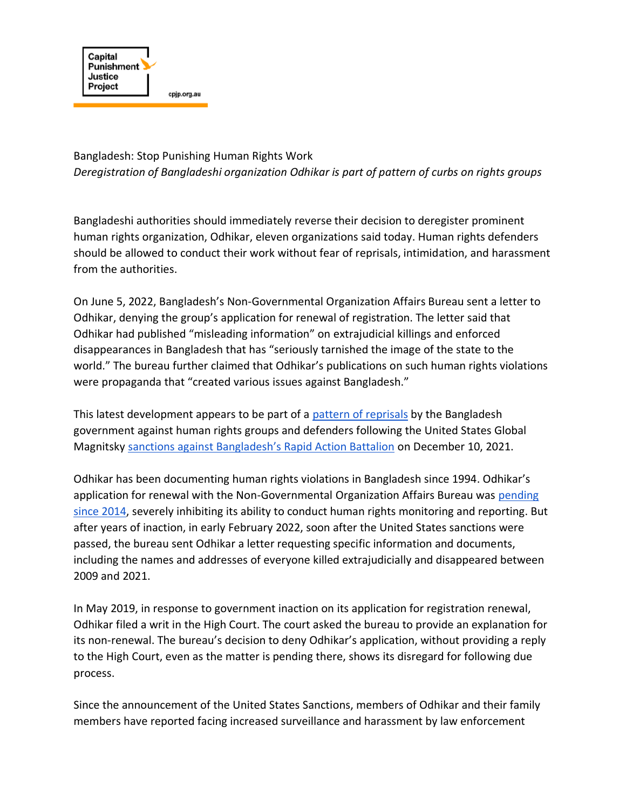

Bangladesh: Stop Punishing Human Rights Work *Deregistration of Bangladeshi organization Odhikar is part of pattern of curbs on rights groups* 

Bangladeshi authorities should immediately reverse their decision to deregister prominent human rights organization, Odhikar, eleven organizations said today. Human rights defenders should be allowed to conduct their work without fear of reprisals, intimidation, and harassment from the authorities.

On June 5, 2022, Bangladesh's Non-Governmental Organization Affairs Bureau sent a letter to Odhikar, denying the group's application for renewal of registration. The letter said that Odhikar had published "misleading information" on extrajudicial killings and enforced disappearances in Bangladesh that has "seriously tarnished the image of the state to the world." The bureau further claimed that Odhikar's publications on such human rights violations were propaganda that "created various issues against Bangladesh."

This latest development appears to be part of a [pattern of reprisals](https://rfkhumanrights.org/press/bangladesh-stop-reprisals-against-victims-activists) by the Bangladesh government against human rights groups and defenders following the United States Global Magnitsky [sanctions against Bangladesh's Rapid Action Battalion](https://home.treasury.gov/news/press-releases/jy0526) on December 10, 2021.

Odhikar has been documenting human rights violations in Bangladesh since 1994. Odhikar's application for renewal with the Non-Governmental Organization Affairs Bureau was [pending](https://www.hrw.org/news/2014/01/15/bangladesh-drop-charges-stop-harassment-odhikar)  [since 2014,](https://www.hrw.org/news/2014/01/15/bangladesh-drop-charges-stop-harassment-odhikar) severely inhibiting its ability to conduct human rights monitoring and reporting. But after years of inaction, in early February 2022, soon after the United States sanctions were passed, the bureau sent Odhikar a letter requesting specific information and documents, including the names and addresses of everyone killed extrajudicially and disappeared between 2009 and 2021.

In May 2019, in response to government inaction on its application for registration renewal, Odhikar filed a writ in the High Court. The court asked the bureau to provide an explanation for its non-renewal. The bureau's decision to deny Odhikar's application, without providing a reply to the High Court, even as the matter is pending there, shows its disregard for following due process.

Since the announcement of the United States Sanctions, members of Odhikar and their family members have reported facing increased surveillance and harassment by law enforcement